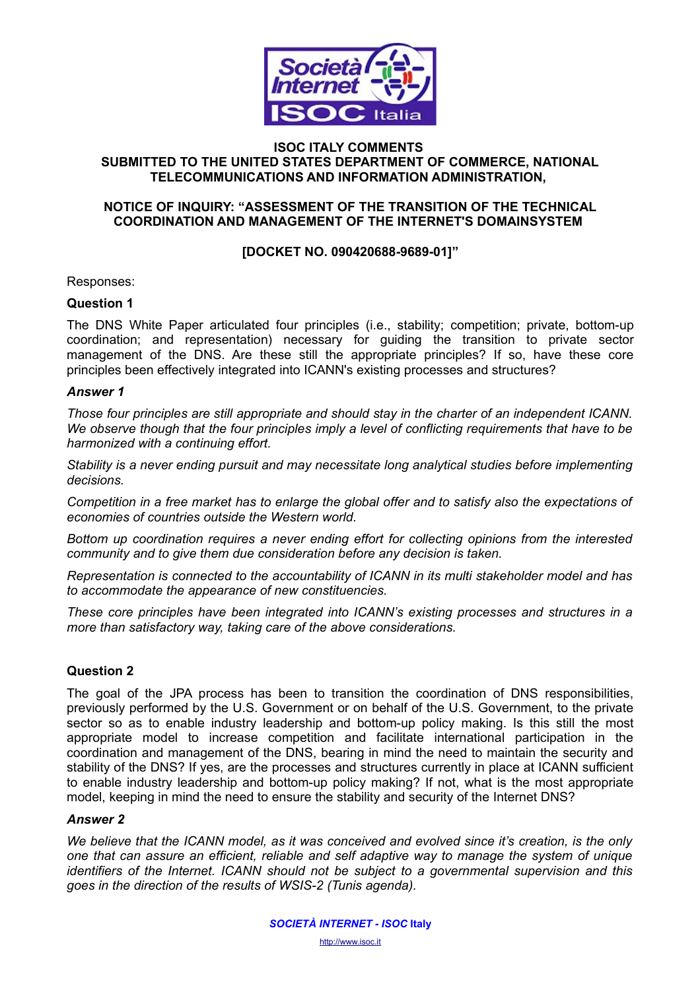

#### **ISOC ITALY COMMENTS SUBMITTED TO THE UNITED STATES DEPARTMENT OF COMMERCE, NATIONAL TELECOMMUNICATIONS AND INFORMATION ADMINISTRATION,**

# **NOTICE OF INQUIRY: "ASSESSMENT OF THE TRANSITION OF THE TECHNICAL COORDINATION AND MANAGEMENT OF THE INTERNET'S DOMAINSYSTEM**

## **[DOCKET NO. 090420688-9689-01]"**

Responses:

# **Question 1**

The DNS White Paper articulated four principles (i.e., stability; competition; private, bottom-up coordination; and representation) necessary for guiding the transition to private sector management of the DNS. Are these still the appropriate principles? If so, have these core principles been effectively integrated into ICANN's existing processes and structures?

#### *Answer 1*

*Those four principles are still appropriate and should stay in the charter of an independent ICANN. We observe though that the four principles imply a level of conflicting requirements that have to be harmonized with a continuing effort.* 

*Stability is a never ending pursuit and may necessitate long analytical studies before implementing decisions.* 

*Competition in a free market has to enlarge the global offer and to satisfy also the expectations of economies of countries outside the Western world.* 

*Bottom up coordination requires a never ending effort for collecting opinions from the interested community and to give them due consideration before any decision is taken.* 

*Representation is connected to the accountability of ICANN in its multi stakeholder model and has to accommodate the appearance of new constituencies.* 

*These core principles have been integrated into ICANN's existing processes and structures in a more than satisfactory way, taking care of the above considerations.* 

## **Question 2**

The goal of the JPA process has been to transition the coordination of DNS responsibilities, previously performed by the U.S. Government or on behalf of the U.S. Government, to the private sector so as to enable industry leadership and bottom-up policy making. Is this still the most appropriate model to increase competition and facilitate international participation in the coordination and management of the DNS, bearing in mind the need to maintain the security and stability of the DNS? If yes, are the processes and structures currently in place at ICANN sufficient to enable industry leadership and bottom-up policy making? If not, what is the most appropriate model, keeping in mind the need to ensure the stability and security of the Internet DNS?

## *Answer 2*

*We believe that the ICANN model, as it was conceived and evolved since it's creation, is the only one that can assure an efficient, reliable and self adaptive way to manage the system of unique identifiers of the Internet. ICANN should not be subject to a governmental supervision and this goes in the direction of the results of WSIS-2 (Tunis agenda).*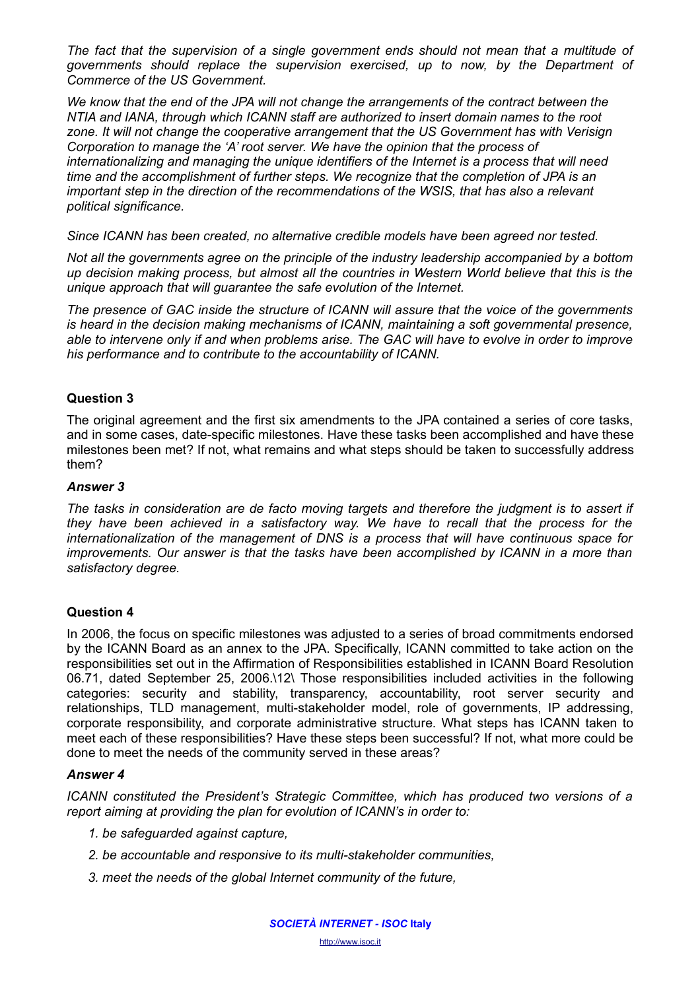*The fact that the supervision of a single government ends should not mean that a multitude of governments should replace the supervision exercised, up to now, by the Department of Commerce of the US Government.*

*We know that the end of the JPA will not change the arrangements of the contract between the NTIA and IANA, through which ICANN staff are authorized to insert domain names to the root zone. It will not change the cooperative arrangement that the US Government has with Verisign Corporation to manage the 'A' root server. We have the opinion that the process of internationalizing and managing the unique identifiers of the Internet is a process that will need time and the accomplishment of further steps. We recognize that the completion of JPA is an important step in the direction of the recommendations of the WSIS, that has also a relevant political significance.* 

*Since ICANN has been created, no alternative credible models have been agreed nor tested.*

*Not all the governments agree on the principle of the industry leadership accompanied by a bottom up decision making process, but almost all the countries in Western World believe that this is the unique approach that will guarantee the safe evolution of the Internet.*

*The presence of GAC inside the structure of ICANN will assure that the voice of the governments is heard in the decision making mechanisms of ICANN, maintaining a soft governmental presence, able to intervene only if and when problems arise. The GAC will have to evolve in order to improve his performance and to contribute to the accountability of ICANN.*

## **Question 3**

The original agreement and the first six amendments to the JPA contained a series of core tasks, and in some cases, date-specific milestones. Have these tasks been accomplished and have these milestones been met? If not, what remains and what steps should be taken to successfully address them?

## *Answer 3*

*The tasks in consideration are de facto moving targets and therefore the judgment is to assert if they have been achieved in a satisfactory way. We have to recall that the process for the internationalization of the management of DNS is a process that will have continuous space for improvements. Our answer is that the tasks have been accomplished by ICANN in a more than satisfactory degree.*

## **Question 4**

In 2006, the focus on specific milestones was adjusted to a series of broad commitments endorsed by the ICANN Board as an annex to the JPA. Specifically, ICANN committed to take action on the responsibilities set out in the Affirmation of Responsibilities established in ICANN Board Resolution 06.71, dated September 25, 2006.\12\ Those responsibilities included activities in the following categories: security and stability, transparency, accountability, root server security and relationships, TLD management, multi-stakeholder model, role of governments, IP addressing, corporate responsibility, and corporate administrative structure. What steps has ICANN taken to meet each of these responsibilities? Have these steps been successful? If not, what more could be done to meet the needs of the community served in these areas?

## *Answer 4*

*ICANN constituted the President's Strategic Committee, which has produced two versions of a report aiming at providing the plan for evolution of ICANN's in order to:*

- *1. be safeguarded against capture,*
- *2. be accountable and responsive to its multi-stakeholder communities,*
- *3. meet the needs of the global Internet community of the future,*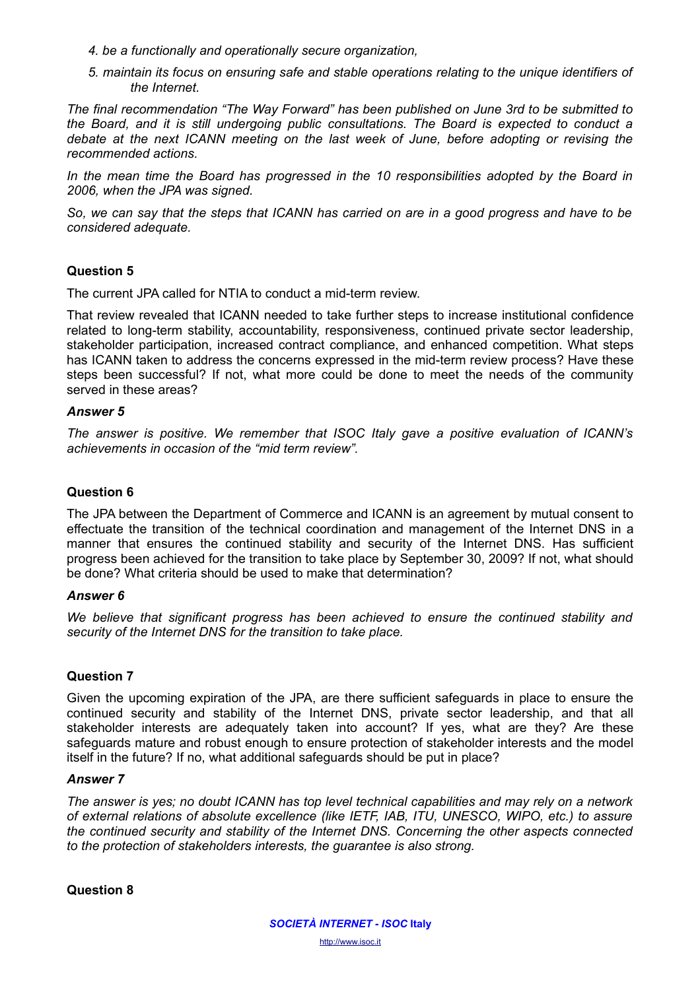- *4. be a functionally and operationally secure organization,*
- *5. maintain its focus on ensuring safe and stable operations relating to the unique identifiers of the Internet.*

*The final recommendation "The Way Forward" has been published on June 3rd to be submitted to the Board, and it is still undergoing public consultations. The Board is expected to conduct a debate at the next ICANN meeting on the last week of June, before adopting or revising the recommended actions.*

*In the mean time the Board has progressed in the 10 responsibilities adopted by the Board in 2006, when the JPA was signed.* 

*So, we can say that the steps that ICANN has carried on are in a good progress and have to be considered adequate.*

## **Question 5**

The current JPA called for NTIA to conduct a mid-term review.

That review revealed that ICANN needed to take further steps to increase institutional confidence related to long-term stability, accountability, responsiveness, continued private sector leadership, stakeholder participation, increased contract compliance, and enhanced competition. What steps has ICANN taken to address the concerns expressed in the mid-term review process? Have these steps been successful? If not, what more could be done to meet the needs of the community served in these areas?

#### *Answer 5*

*The answer is positive. We remember that ISOC Italy gave a positive evaluation of ICANN's achievements in occasion of the "mid term review".*

# **Question 6**

The JPA between the Department of Commerce and ICANN is an agreement by mutual consent to effectuate the transition of the technical coordination and management of the Internet DNS in a manner that ensures the continued stability and security of the Internet DNS. Has sufficient progress been achieved for the transition to take place by September 30, 2009? If not, what should be done? What criteria should be used to make that determination?

## *Answer 6*

*We believe that significant progress has been achieved to ensure the continued stability and security of the Internet DNS for the transition to take place.*

## **Question 7**

Given the upcoming expiration of the JPA, are there sufficient safeguards in place to ensure the continued security and stability of the Internet DNS, private sector leadership, and that all stakeholder interests are adequately taken into account? If yes, what are they? Are these safeguards mature and robust enough to ensure protection of stakeholder interests and the model itself in the future? If no, what additional safeguards should be put in place?

## *Answer 7*

*The answer is yes; no doubt ICANN has top level technical capabilities and may rely on a network of external relations of absolute excellence (like IETF, IAB, ITU, UNESCO, WIPO, etc.) to assure the continued security and stability of the Internet DNS. Concerning the other aspects connected to the protection of stakeholders interests, the guarantee is also strong.* 

**Question 8**